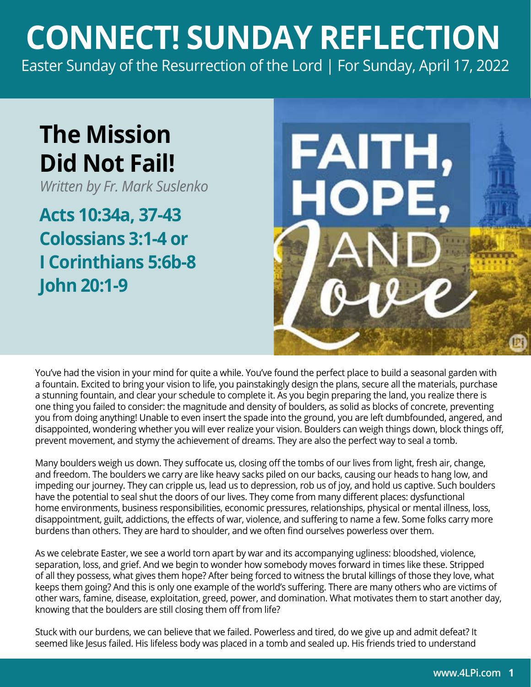## **CONNECT! SUNDAY REFLECTION** [Easter Sunday of the Resurrection of the Lord | For Sunday, April 17, 2022](https://bible.usccb.org/bible/readings/041722.cfm)

## **The Mission Did Not Fail!**

*Written by Fr. Mark Suslenko*

**Acts 10:34a, 37-43 Colossians 3:1-4 or I Corinthians 5:6b-8 John 20:1-9**



You've had the vision in your mind for quite a while. You've found the perfect place to build a seasonal garden with a fountain. Excited to bring your vision to life, you painstakingly design the plans, secure all the materials, purchase a stunning fountain, and clear your schedule to complete it. As you begin preparing the land, you realize there is one thing you failed to consider: the magnitude and density of boulders, as solid as blocks of concrete, preventing you from doing anything! Unable to even insert the spade into the ground, you are left dumbfounded, angered, and disappointed, wondering whether you will ever realize your vision. Boulders can weigh things down, block things off, prevent movement, and stymy the achievement of dreams. They are also the perfect way to seal a tomb.

Many boulders weigh us down. They suffocate us, closing off the tombs of our lives from light, fresh air, change, and freedom. The boulders we carry are like heavy sacks piled on our backs, causing our heads to hang low, and impeding our journey. They can cripple us, lead us to depression, rob us of joy, and hold us captive. Such boulders have the potential to seal shut the doors of our lives. They come from many different places: dysfunctional home environments, business responsibilities, economic pressures, relationships, physical or mental illness, loss, disappointment, guilt, addictions, the effects of war, violence, and suffering to name a few. Some folks carry more burdens than others. They are hard to shoulder, and we often find ourselves powerless over them.

As we celebrate Easter, we see a world torn apart by war and its accompanying ugliness: bloodshed, violence, separation, loss, and grief. And we begin to wonder how somebody moves forward in times like these. Stripped of all they possess, what gives them hope? After being forced to witness the brutal killings of those they love, what keeps them going? And this is only one example of the world's suffering. There are many others who are victims of other wars, famine, disease, exploitation, greed, power, and domination. What motivates them to start another day, knowing that the boulders are still closing them off from life?

Stuck with our burdens, we can believe that we failed. Powerless and tired, do we give up and admit defeat? It seemed like Jesus failed. His lifeless body was placed in a tomb and sealed up. His friends tried to understand